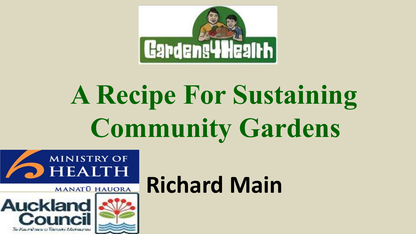

# **A Recipe For Sustaining Community Gardens**





# **Richard Main**<br>MANATO HAUORA Richard Main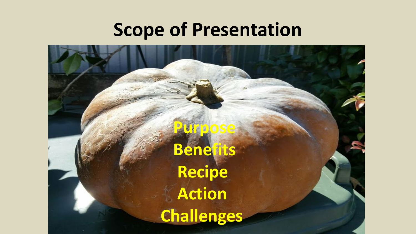#### **Scope of Presentation**

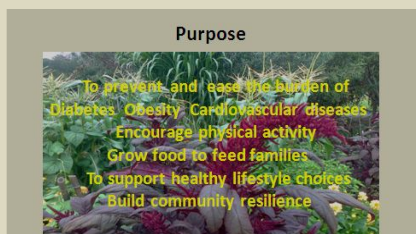

## **Nen** of and **Cardiovascular diseases Encourage physical activity** Grow food to feed families To support healthy lifestyle choice **Build community resilience**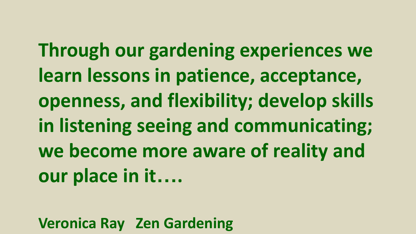**Through our gardening experiences we learn lessons in patience, acceptance, openness, and flexibility; develop skills in listening seeing and communicating; we become more aware of reality and our place in it….**

**Veronica Ray Zen Gardening**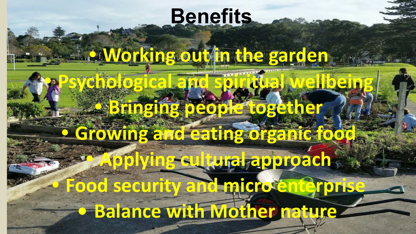## **Benefits**

### **• Working out in the garden**

**• Psychological and spiritual wellbeing**

## **• Bringing people together • Growing and eating organic food**

## **• Applying cultural approach • Food security and micro enterprise • Balance with Mother nature**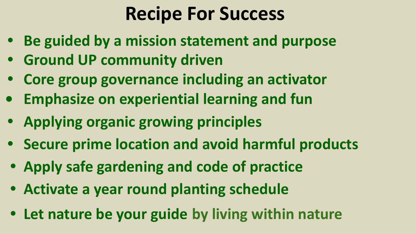#### **Recipe For Success**

- **• Be guided by a mission statement and purpose**
- **• Ground UP community driven**
- **• Core group governance including an activator**
- **• Emphasize on experiential learning and fun**
- **• Applying organic growing principles**
- **• Secure prime location and avoid harmful products**
- **• Apply safe gardening and code of practice**
- **• Activate a year round planting schedule**
- **• Let nature be your guide by living within nature**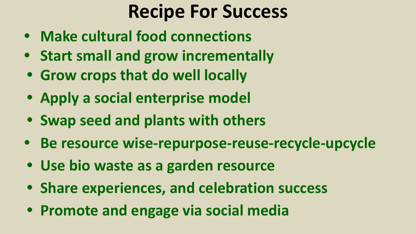#### **Recipe For Success**

- **• Make cultural food connections**
- **• Start small and grow incrementally**
- **• Grow crops that do well locally**
- **• Apply a social enterprise model**
- **• Swap seed and plants with others**
- **• Be resource wise-repurpose-reuse-recycle-upcycle**
- **• Use bio waste as a garden resource**
- **• Share experiences, and celebration success**
- **• Promote and engage via social media**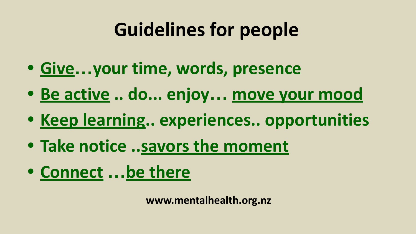## **Guidelines for people**

- **• Give…your time, words, presence**
- **• Be active .. do... enjoy… move your mood**
- **• Keep learning.. experiences.. opportunities**
- **• Take notice ..savors the moment**
- **• Connect …be there**

**www.mentalhealth.org.nz**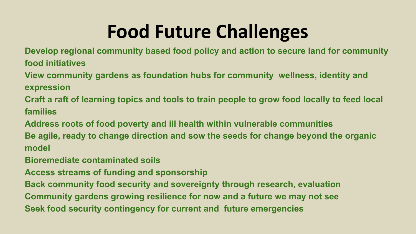### **Food Future Challenges**

**Develop regional community based food policy and action to secure land for community food initiatives**

**View community gardens as foundation hubs for community wellness, identity and expression** 

**Craft a raft of learning topics and tools to train people to grow food locally to feed local families**

**Address roots of food poverty and ill health within vulnerable communities**

**Be agile, ready to change direction and sow the seeds for change beyond the organic model**

**Bioremediate contaminated soils**

**Access streams of funding and sponsorship**

**Back community food security and sovereignty through research, evaluation Community gardens growing resilience for now and a future we may not see Seek food security contingency for current and future emergencies**